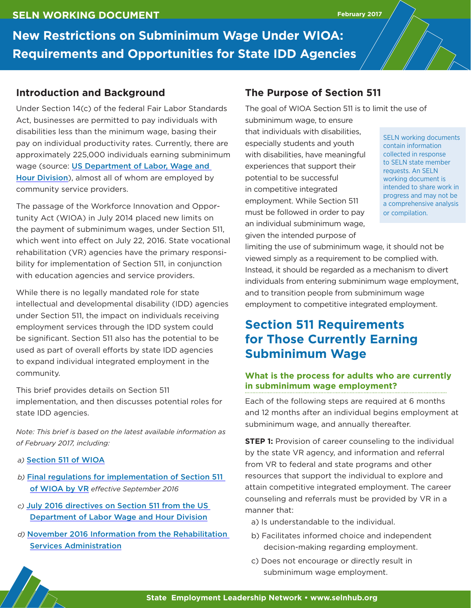## **SELN WORKING DOCUMENT New Restrictions on Subminimum Wage Under WIOA: Requirements and Opportunities for State IDD Agencies February 2017**

## **Introduction and Background**

Under Section 14(c) of the federal Fair Labor Standards Act, businesses are permitted to pay individuals with disabilities less than the minimum wage, basing their pay on individual productivity rates. Currently, there are approximately 225,000 individuals earning subminimum wage (source: [US Department of Labor, Wage and](https://www.dol.gov/Whd/specialemployment/index.htm)  [Hour Division](https://www.dol.gov/Whd/specialemployment/index.htm)), almost all of whom are employed by community service providers.

The passage of the Workforce Innovation and Opportunity Act (WIOA) in July 2014 placed new limits on the payment of subminimum wages, under Section 511, which went into effect on July 22, 2016. State vocational rehabilitation (VR) agencies have the primary responsibility for implementation of Section 511, in conjunction with education agencies and service providers.

While there is no legally mandated role for state intellectual and developmental disability (IDD) agencies under Section 511, the impact on individuals receiving employment services through the IDD system could be significant. Section 511 also has the potential to be used as part of overall efforts by state IDD agencies to expand individual integrated employment in the community.

This brief provides details on Section 511 implementation, and then discusses potential roles for state IDD agencies.

*Note: This brief is based on the latest available information as of February 2017, including:* 

- *a)* [Section 511 of WIOA](http://www.wintac.org/topic-areas/pre-employment-transition-services/law-reg-and-policy/section-511-limitations-use-sub#Igeneral)
- *b)* [Final regulations for implementation of Section 511](https://www.federalregister.gov/documents/2016/08/19/2016-15980/state-vocational-rehabilitation-services-program-state-supported-employment-services-program)  [of WIOA by VR](https://www.federalregister.gov/documents/2016/08/19/2016-15980/state-vocational-rehabilitation-services-program-state-supported-employment-services-program) *effective September 2016*
- *c)* [July 2016 directives on Section 511 from the US](https://www.dol.gov/whd/FieldBulletins/fab2016_2.pdf)  [Department of Labor Wage and Hour Division](https://www.dol.gov/whd/FieldBulletins/fab2016_2.pdf)
- *d)* [November 2016 Information from the Rehabilitation](http://www2.ed.gov/about/offices/list/osers/rsa/publications/csavr-2016-section-511-subminimum-wage.pdf)  [Services Administration](http://www2.ed.gov/about/offices/list/osers/rsa/publications/csavr-2016-section-511-subminimum-wage.pdf)

## **The Purpose of Section 511**

The goal of WIOA Section 511 is to limit the use of subminimum wage, to ensure that individuals with disabilities, especially students and youth with disabilities, have meaningful experiences that support their potential to be successful in competitive integrated employment. While Section 511 must be followed in order to pay an individual subminimum wage, given the intended purpose of

SELN working documents contain information collected in response to SELN state member requests. An SELN working document is intended to share work in progress and may not be a comprehensive analysis or compilation.

limiting the use of subminimum wage, it should not be viewed simply as a requirement to be complied with. Instead, it should be regarded as a mechanism to divert individuals from entering subminimum wage employment, and to transition people from subminimum wage employment to competitive integrated employment.

# **Section 511 Requirements for Those Currently Earning Subminimum Wage**

#### **What is the process for adults who are currently in subminimum wage employment?**

Each of the following steps are required at 6 months and 12 months after an individual begins employment at subminimum wage, and annually thereafter.

**STEP 1:** Provision of career counseling to the individual by the state VR agency, and information and referral from VR to federal and state programs and other resources that support the individual to explore and attain competitive integrated employment. The career counseling and referrals must be provided by VR in a manner that:

- a) Is understandable to the individual.
- b) Facilitates informed choice and independent decision-making regarding employment.
- c) Does not encourage or directly result in subminimum wage employment.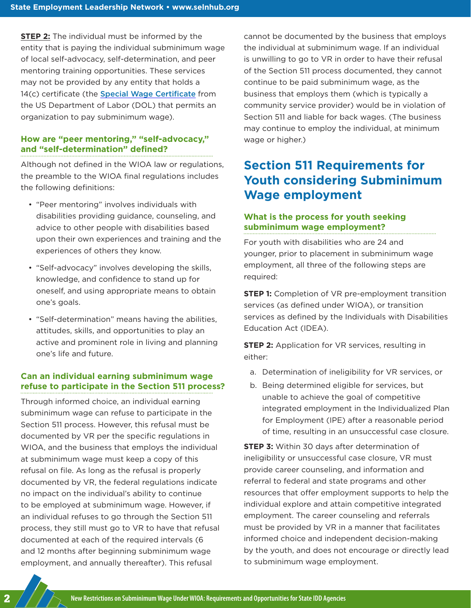**STEP 2:** The individual must be informed by the entity that is paying the individual subminimum wage of local self-advocacy, self-determination, and peer mentoring training opportunities. These services may not be provided by any entity that holds a 14(c) certificate (the [Special Wage Certificate](https://www.dol.gov/whd/regs/compliance/whdfs39.htm) from the US Department of Labor (DOL) that permits an organization to pay subminimum wage).

#### **How are "peer mentoring," "self-advocacy," and "self-determination" defined?**

Although not defined in the WIOA law or regulations, the preamble to the WIOA final regulations includes the following definitions:

- "Peer mentoring" involves individuals with disabilities providing guidance, counseling, and advice to other people with disabilities based upon their own experiences and training and the experiences of others they know.
- "Self-advocacy" involves developing the skills, knowledge, and confidence to stand up for oneself, and using appropriate means to obtain one's goals.
- "Self-determination" means having the abilities, attitudes, skills, and opportunities to play an active and prominent role in living and planning one's life and future.

#### **Can an individual earning subminimum wage refuse to participate in the Section 511 process?**

Through informed choice, an individual earning subminimum wage can refuse to participate in the Section 511 process. However, this refusal must be documented by VR per the specific regulations in WIOA, and the business that employs the individual at subminimum wage must keep a copy of this refusal on file. As long as the refusal is properly documented by VR, the federal regulations indicate no impact on the individual's ability to continue to be employed at subminimum wage. However, if an individual refuses to go through the Section 511 process, they still must go to VR to have that refusal documented at each of the required intervals (6 and 12 months after beginning subminimum wage employment, and annually thereafter). This refusal

cannot be documented by the business that employs the individual at subminimum wage. If an individual is unwilling to go to VR in order to have their refusal of the Section 511 process documented, they cannot continue to be paid subminimum wage, as the business that employs them (which is typically a community service provider) would be in violation of Section 511 and liable for back wages. (The business may continue to employ the individual, at minimum wage or higher.)

# **Section 511 Requirements for Youth considering Subminimum Wage employment**

#### **What is the process for youth seeking subminimum wage employment?**

For youth with disabilities who are 24 and younger, prior to placement in subminimum wage employment, all three of the following steps are required:

**STEP 1:** Completion of VR pre-employment transition services (as defined under WIOA), or transition services as defined by the Individuals with Disabilities Education Act (IDEA).

**STEP 2:** Application for VR services, resulting in either:

- a. Determination of ineligibility for VR services, or
- b. Being determined eligible for services, but unable to achieve the goal of competitive integrated employment in the Individualized Plan for Employment (IPE) after a reasonable period of time, resulting in an unsuccessful case closure.

**STEP 3:** Within 30 days after determination of ineligibility or unsuccessful case closure, VR must provide career counseling, and information and referral to federal and state programs and other resources that offer employment supports to help the individual explore and attain competitive integrated employment. The career counseling and referrals must be provided by VR in a manner that facilitates informed choice and independent decision-making by the youth, and does not encourage or directly lead to subminimum wage employment.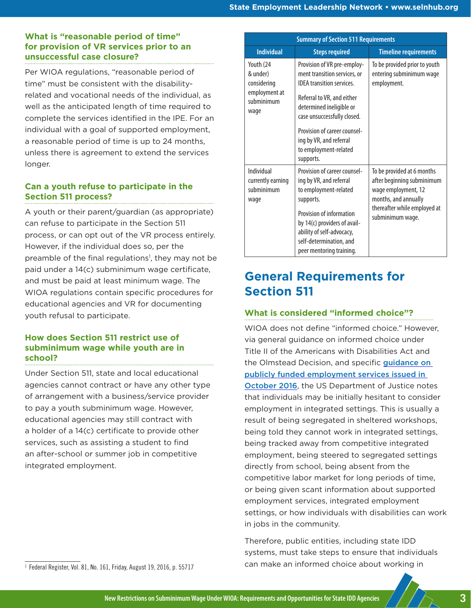#### **What is "reasonable period of time" for provision of VR services prior to an unsuccessful case closure?**

Per WIOA regulations, "reasonable period of time" must be consistent with the disabilityrelated and vocational needs of the individual, as well as the anticipated length of time required to complete the services identified in the IPE. For an individual with a goal of supported employment, a reasonable period of time is up to 24 months, unless there is agreement to extend the services longer.

#### **Can a youth refuse to participate in the Section 511 process?**

A youth or their parent/guardian (as appropriate) can refuse to participate in the Section 511 process, or can opt out of the VR process entirely. However, if the individual does so, per the preamble of the final regulations<sup>1</sup>, they may not be paid under a 14(c) subminimum wage certificate, and must be paid at least minimum wage. The WIOA regulations contain specific procedures for educational agencies and VR for documenting youth refusal to participate.

#### **How does Section 511 restrict use of subminimum wage while youth are in school?**

Under Section 511, state and local educational agencies cannot contract or have any other type of arrangement with a business/service provider to pay a youth subminimum wage. However, educational agencies may still contract with a holder of a 14(c) certificate to provide other services, such as assisting a student to find an after-school or summer job in competitive integrated employment.

| <b>Summary of Section 511 Requirements</b>                                  |                                                                                                                                                                                                                                                                                           |                                                                                                                                                             |  |
|-----------------------------------------------------------------------------|-------------------------------------------------------------------------------------------------------------------------------------------------------------------------------------------------------------------------------------------------------------------------------------------|-------------------------------------------------------------------------------------------------------------------------------------------------------------|--|
| <b>Individual</b>                                                           | <b>Steps required</b>                                                                                                                                                                                                                                                                     | <b>Timeline requirements</b>                                                                                                                                |  |
| Youth (24<br>& under)<br>considering<br>employment at<br>subminimum<br>wage | Provision of VR pre-employ-<br>ment transition services, or<br><b>IDFA transition services.</b><br>Referral to VR, and either<br>determined ineligible or<br>case unsuccessfully closed.<br>Provision of career counsel-<br>ing by VR, and referral<br>to employment-related<br>supports. | To be provided prior to youth<br>entering subminimum wage<br>employment.                                                                                    |  |
| Individual<br>currently earning<br>subminimum<br>wage                       | Provision of career counsel-<br>ing by VR, and referral<br>to employment-related<br>supports.<br>Provision of information<br>by 14(c) providers of avail-<br>ability of self-advocacy,<br>self-determination, and<br>peer mentoring training.                                             | To be provided at 6 months<br>after beginning subminimum<br>wage employment, 12<br>months, and annually<br>thereafter while employed at<br>subminimum wage. |  |

# **General Requirements for Section 511**

#### **What is considered "informed choice"?**

WIOA does not define "informed choice." However, via general guidance on informed choice under Title II of the Americans with Disabilities Act and the Olmstead Decision, and specific **guidance on** [publicly funded employment services issued in](https://www.ada.gov/olmstead/olmstead_guidance_employment.htm)  [October 2016](https://www.ada.gov/olmstead/olmstead_guidance_employment.htm), the US Department of Justice notes that individuals may be initially hesitant to consider employment in integrated settings. This is usually a result of being segregated in sheltered workshops, being told they cannot work in integrated settings, being tracked away from competitive integrated employment, being steered to segregated settings directly from school, being absent from the competitive labor market for long periods of time, or being given scant information about supported employment services, integrated employment settings, or how individuals with disabilities can work in jobs in the community.

Therefore, public entities, including state IDD systems, must take steps to ensure that individuals can make an informed choice about working in

<sup>1</sup> Federal Register, Vol. 81, No. 161, Friday, August 19, 2016, p. 55717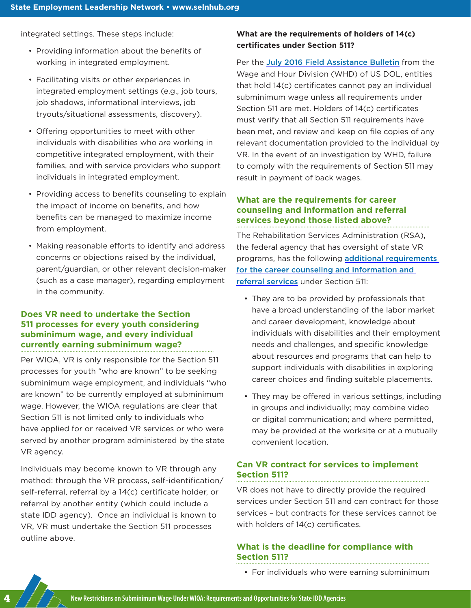integrated settings. These steps include:

- Providing information about the benefits of working in integrated employment.
- Facilitating visits or other experiences in integrated employment settings (e.g., job tours, job shadows, informational interviews, job tryouts/situational assessments, discovery).
- Offering opportunities to meet with other individuals with disabilities who are working in competitive integrated employment, with their families, and with service providers who support individuals in integrated employment.
- Providing access to benefits counseling to explain the impact of income on benefits, and how benefits can be managed to maximize income from employment.
- Making reasonable efforts to identify and address concerns or objections raised by the individual, parent/guardian, or other relevant decision-maker (such as a case manager), regarding employment in the community.

#### **Does VR need to undertake the Section 511 processes for every youth considering subminimum wage, and every individual currently earning subminimum wage?**

Per WIOA, VR is only responsible for the Section 511 processes for youth "who are known" to be seeking subminimum wage employment, and individuals "who are known" to be currently employed at subminimum wage. However, the WIOA regulations are clear that Section 511 is not limited only to individuals who have applied for or received VR services or who were served by another program administered by the state VR agency.

Individuals may become known to VR through any method: through the VR process, self-identification/ self-referral, referral by a 14(c) certificate holder, or referral by another entity (which could include a state IDD agency). Once an individual is known to VR, VR must undertake the Section 511 processes outline above.

#### **What are the requirements of holders of 14(c) certificates under Section 511?**

Per the [July 2016 Field Assistance Bulletin](https://www.dol.gov/whd/FieldBulletins/fab2016_2.htm) from the Wage and Hour Division (WHD) of US DOL, entities that hold 14(c) certificates cannot pay an individual subminimum wage unless all requirements under Section 511 are met. Holders of 14(c) certificates must verify that all Section 511 requirements have been met, and review and keep on file copies of any relevant documentation provided to the individual by VR. In the event of an investigation by WHD, failure to comply with the requirements of Section 511 may result in payment of back wages.

#### **What are the requirements for career counseling and information and referral services beyond those listed above?**

The Rehabilitation Services Administration (RSA), the federal agency that has oversight of state VR programs, has the following additional requirements [for the career counseling and information and](http://www2.ed.gov/about/offices/list/osers/rsa/publications/csavr-2016-section-511-subminimum-wage.pdf)  [referral services](http://www2.ed.gov/about/offices/list/osers/rsa/publications/csavr-2016-section-511-subminimum-wage.pdf) under Section 511:

- They are to be provided by professionals that have a broad understanding of the labor market and career development, knowledge about individuals with disabilities and their employment needs and challenges, and specific knowledge about resources and programs that can help to support individuals with disabilities in exploring career choices and finding suitable placements.
- They may be offered in various settings, including in groups and individually; may combine video or digital communication; and where permitted, may be provided at the worksite or at a mutually convenient location.

#### **Can VR contract for services to implement Section 511?**

VR does not have to directly provide the required services under Section 511 and can contract for those services – but contracts for these services cannot be with holders of 14(c) certificates.

#### **What is the deadline for compliance with Section 511?**

• For individuals who were earning subminimum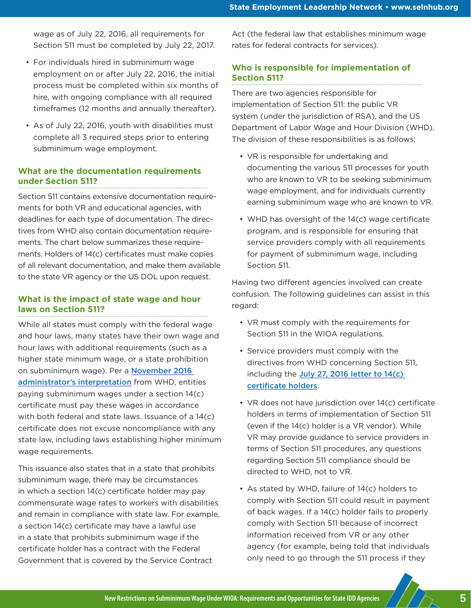wage as of July 22, 2016, all requirements for Section 511 must be completed by July 22, 2017.

- For individuals hired in subminimum wage employment on or after July 22, 2016, the initial process must be completed within six months of hire, with ongoing compliance with all required timeframes (12 months and annually thereafter).
- As of July 22, 2016, youth with disabilities must complete all 3 required steps prior to entering subminimum wage employment.

#### **What are the documentation requirements under Section 511?**

Section 511 contains extensive documentation requirements for both VR and educational agencies, with deadlines for each type of documentation. The directives from WHD also contain documentation requirements. The chart below summarizes these requirements. Holders of 14(c) certificates must make copies of all relevant documentation, and make them available to the state VR agency or the US DOL upon request.

#### **What is the impact of state wage and hour laws on Section 511?**

While all states must comply with the federal wage and hour laws, many states have their own wage and hour laws with additional requirements (such as a higher state minimum wage, or a state prohibition on subminimum wage). Per a [November 2016](https://www.dol.gov/whd/opinion/AdminIntrprtn/FLSA/2016/FLSAAI2016_2.htm)  [administrator's interpretation](https://www.dol.gov/whd/opinion/AdminIntrprtn/FLSA/2016/FLSAAI2016_2.htm) from WHD, entities paying subminimum wages under a section 14(c) certificate must pay these wages in accordance with both federal and state laws. Issuance of a 14(c) certificate does not excuse noncompliance with any state law, including laws establishing higher minimum wage requirements.

This issuance also states that in a state that prohibits subminimum wage, there may be circumstances in which a section 14(c) certificate holder may pay commensurate wage rates to workers with disabilities and remain in compliance with state law. For example, a section 14(c) certificate may have a lawful use in a state that prohibits subminimum wage if the certificate holder has a contract with the Federal Government that is covered by the Service Contract

Act (the federal law that establishes minimum wage rates for federal contracts for services).

### **Who is responsible for implementation of Section 511?**

There are two agencies responsible for implementation of Section 511: the public VR system (under the jurisdiction of RSA), and the US Department of Labor Wage and Hour Division (WHD). The division of these responsibilities is as follows:

- VR is responsible for undertaking and documenting the various 511 processes for youth who are known to VR to be seeking subminimum wage employment, and for individuals currently earning subminimum wage who are known to VR.
- WHD has oversight of the 14(c) wage certificate program, and is responsible for ensuring that service providers comply with all requirements for payment of subminimum wage, including Section 511.

Having two different agencies involved can create confusion. The following guidelines can assist in this regard:

- VR must comply with the requirements for Section 511 in the WIOA regulations.
- Service providers must comply with the directives from WHD concerning Section 511, including the [July 27, 2016 letter to 14\(c\)](https://www.dol.gov/whd/specialemployment/14cLetter_July2016.pdf)  [certificate holders](https://www.dol.gov/whd/specialemployment/14cLetter_July2016.pdf).
- VR does not have jurisdiction over 14(c) certificate holders in terms of implementation of Section 511 (even if the 14(c) holder is a VR vendor). While VR may provide guidance to service providers in terms of Section 511 procedures, any questions regarding Section 511 compliance should be directed to WHD, not to VR.
- As stated by WHD, failure of 14(c) holders to comply with Section 511 could result in payment of back wages. If a 14(c) holder fails to properly comply with Section 511 because of incorrect information received from VR or any other agency (for example, being told that individuals only need to go through the 511 process if they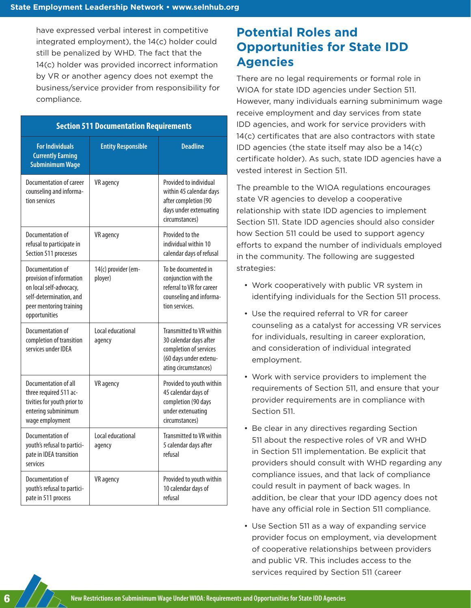have expressed verbal interest in competitive integrated employment), the 14(c) holder could still be penalized by WHD. The fact that the 14(c) holder was provided incorrect information by VR or another agency does not exempt the business/service provider from responsibility for compliance.

| <b>Section 511 Documentation Requirements</b>                                                                                                  |                                |                                                                                                                                       |  |
|------------------------------------------------------------------------------------------------------------------------------------------------|--------------------------------|---------------------------------------------------------------------------------------------------------------------------------------|--|
| <b>For Individuals</b><br><b>Currently Earning</b><br><b>Subminimum Wage</b>                                                                   | <b>Entity Responsible</b>      | <b>Deadline</b>                                                                                                                       |  |
| Documentation of career<br>counseling and informa-<br>tion services                                                                            | VR agency                      | Provided to individual<br>within 45 calendar days<br>after completion (90<br>days under extenuating<br>circumstances)                 |  |
| Documentation of<br>refusal to participate in<br>Section 511 processes                                                                         | VR agency                      | Provided to the<br>individual within 10<br>calendar days of refusal                                                                   |  |
| Documentation of<br>provision of information<br>on local self-advocacy,<br>self-determination, and<br>peer mentoring training<br>opportunities | 14(c) provider (em-<br>ployer) | To be documented in<br>conjunction with the<br>referral to VR for career<br>counseling and informa-<br>tion services                  |  |
| Documentation of<br>completion of transition<br>services under IDEA                                                                            | Local educational<br>agency    | <b>Transmitted to VR within</b><br>30 calendar days after<br>completion of services<br>(60 days under extenu-<br>ating circumstances) |  |
| Documentation of all<br>three required 511 ac-<br>tivities for youth prior to<br>entering subminimum<br>wage employment                        | VR agency                      | Provided to youth within<br>45 calendar days of<br>completion (90 days<br>under extenuating<br>circumstances)                         |  |
| Documentation of<br>youth's refusal to partici-<br>pate in IDEA transition<br>services                                                         | Local educational<br>agency    | <b>Transmitted to VR within</b><br>5 calendar days after<br>refusal                                                                   |  |
| Documentation of<br>youth's refusal to partici-<br>pate in 511 process                                                                         | VR agency                      | Provided to youth within<br>10 calendar days of<br>refusal                                                                            |  |

# **Potential Roles and Opportunities for State IDD Agencies**

There are no legal requirements or formal role in WIOA for state IDD agencies under Section 511. However, many individuals earning subminimum wage receive employment and day services from state IDD agencies, and work for service providers with 14(c) certificates that are also contractors with state IDD agencies (the state itself may also be a 14(c) certificate holder). As such, state IDD agencies have a vested interest in Section 511.

The preamble to the WIOA regulations encourages state VR agencies to develop a cooperative relationship with state IDD agencies to implement Section 511. State IDD agencies should also consider how Section 511 could be used to support agency efforts to expand the number of individuals employed in the community. The following are suggested strategies:

- Work cooperatively with public VR system in identifying individuals for the Section 511 process.
- Use the required referral to VR for career counseling as a catalyst for accessing VR services for individuals, resulting in career exploration, and consideration of individual integrated employment.
- Work with service providers to implement the requirements of Section 511, and ensure that your provider requirements are in compliance with Section 511.
- Be clear in any directives regarding Section 511 about the respective roles of VR and WHD in Section 511 implementation. Be explicit that providers should consult with WHD regarding any compliance issues, and that lack of compliance could result in payment of back wages. In addition, be clear that your IDD agency does not have any official role in Section 511 compliance.
- Use Section 511 as a way of expanding service provider focus on employment, via development of cooperative relationships between providers and public VR. This includes access to the services required by Section 511 (career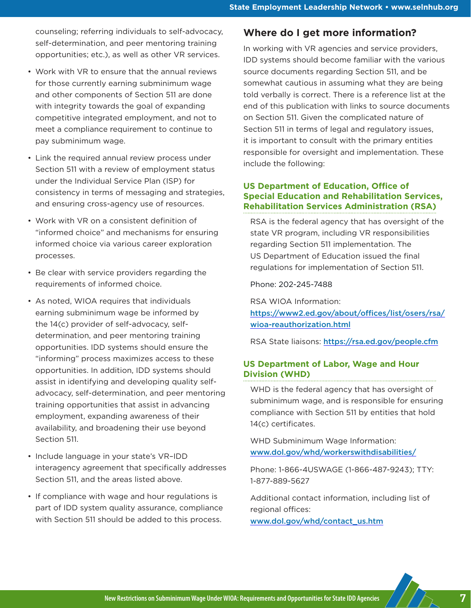counseling; referring individuals to self-advocacy, self-determination, and peer mentoring training opportunities; etc.), as well as other VR services.

- Work with VR to ensure that the annual reviews for those currently earning subminimum wage and other components of Section 511 are done with integrity towards the goal of expanding competitive integrated employment, and not to meet a compliance requirement to continue to pay subminimum wage.
- Link the required annual review process under Section 511 with a review of employment status under the Individual Service Plan (ISP) for consistency in terms of messaging and strategies, and ensuring cross-agency use of resources.
- Work with VR on a consistent definition of "informed choice" and mechanisms for ensuring informed choice via various career exploration processes.
- Be clear with service providers regarding the requirements of informed choice.
- As noted, WIOA requires that individuals earning subminimum wage be informed by the 14(c) provider of self-advocacy, selfdetermination, and peer mentoring training opportunities. IDD systems should ensure the "informing" process maximizes access to these opportunities. In addition, IDD systems should assist in identifying and developing quality selfadvocacy, self-determination, and peer mentoring training opportunities that assist in advancing employment, expanding awareness of their availability, and broadening their use beyond Section 511.
- Include language in your state's VR–IDD interagency agreement that specifically addresses Section 511, and the areas listed above.
- If compliance with wage and hour regulations is part of IDD system quality assurance, compliance with Section 511 should be added to this process.

## **Where do I get more information?**

In working with VR agencies and service providers, IDD systems should become familiar with the various source documents regarding Section 511, and be somewhat cautious in assuming what they are being told verbally is correct. There is a reference list at the end of this publication with links to source documents on Section 511. Given the complicated nature of Section 511 in terms of legal and regulatory issues, it is important to consult with the primary entities responsible for oversight and implementation. These include the following:

## **US Department of Education, Office of Special Education and Rehabilitation Services, Rehabilitation Services Administration (RSA)**

RSA is the federal agency that has oversight of the state VR program, including VR responsibilities regarding Section 511 implementation. The US Department of Education issued the final regulations for implementation of Section 511.

Phone: 202-245-7488

RSA WIOA Information: [https://www2.ed.gov/about/offices/list/osers/rsa/](https://www2.ed.gov/about/offices/list/osers/rsa/wioa-reauthorization.html) [wioa-reauthorization.html](https://www2.ed.gov/about/offices/list/osers/rsa/wioa-reauthorization.html)

RSA State liaisons: <https://rsa.ed.gov/people.cfm>

### **US Department of Labor, Wage and Hour Division (WHD)**

WHD is the federal agency that has oversight of subminimum wage, and is responsible for ensuring compliance with Section 511 by entities that hold 14(c) certificates.

WHD Subminimum Wage Information: [www.dol.gov/whd/workerswithdisabilities/](https://www.dol.gov/whd/workerswithdisabilities/)

Phone: 1-866-4USWAGE (1-866-487-9243); TTY: 1-877-889-5627

Additional contact information, including list of regional offices:

[www.dol.gov/whd/contact\\_us.htm](https://www.dol.gov/whd/contact_us.htm)